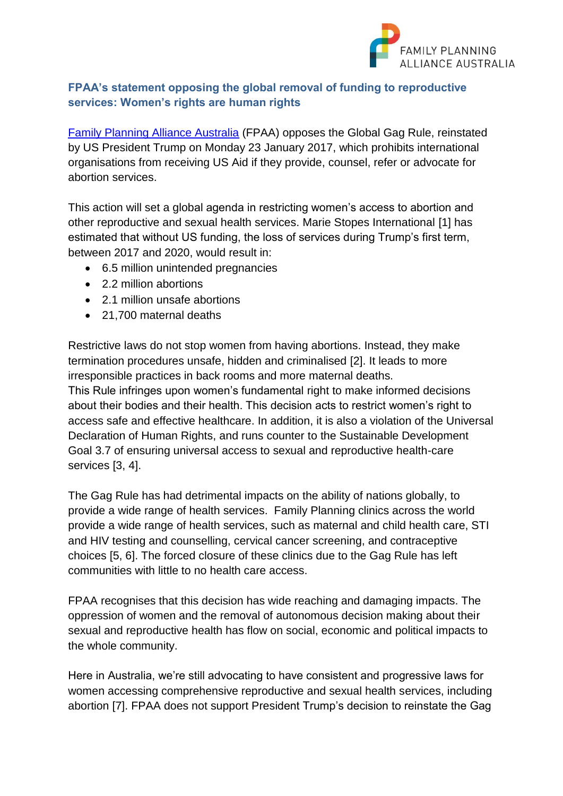

## **FPAA's statement opposing the global removal of funding to reproductive services: Women's rights are human rights**

[Family Planning Alliance Australia](http://familyplanningallianceaustralia.org.au/) (FPAA) opposes the Global Gag Rule, reinstated by US President Trump on Monday 23 January 2017, which prohibits international organisations from receiving US Aid if they provide, counsel, refer or advocate for abortion services.

This action will set a global agenda in restricting women's access to abortion and other reproductive and sexual health services. Marie Stopes International [1] has estimated that without US funding, the loss of services during Trump's first term, between 2017 and 2020, would result in:

- 6.5 million unintended pregnancies
- 2.2 million abortions
- 2.1 million unsafe abortions
- 21,700 maternal deaths

Restrictive laws do not stop women from having abortions. Instead, they make termination procedures unsafe, hidden and criminalised [2]. It leads to more irresponsible practices in back rooms and more maternal deaths.

This Rule infringes upon women's fundamental right to make informed decisions about their bodies and their health. This decision acts to restrict women's right to access safe and effective healthcare. In addition, it is also a violation of the Universal Declaration of Human Rights, and runs counter to the Sustainable Development Goal 3.7 of ensuring universal access to sexual and reproductive health-care services [3, 4].

The Gag Rule has had detrimental impacts on the ability of nations globally, to provide a wide range of health services. Family Planning clinics across the world provide a wide range of health services, such as maternal and child health care, STI and HIV testing and counselling, cervical cancer screening, and contraceptive choices [5, 6]. The forced closure of these clinics due to the Gag Rule has left communities with little to no health care access.

FPAA recognises that this decision has wide reaching and damaging impacts. The oppression of women and the removal of autonomous decision making about their sexual and reproductive health has flow on social, economic and political impacts to the whole community.

Here in Australia, we're still advocating to have consistent and progressive laws for women accessing comprehensive reproductive and sexual health services, including abortion [7]. FPAA does not support President Trump's decision to reinstate the Gag